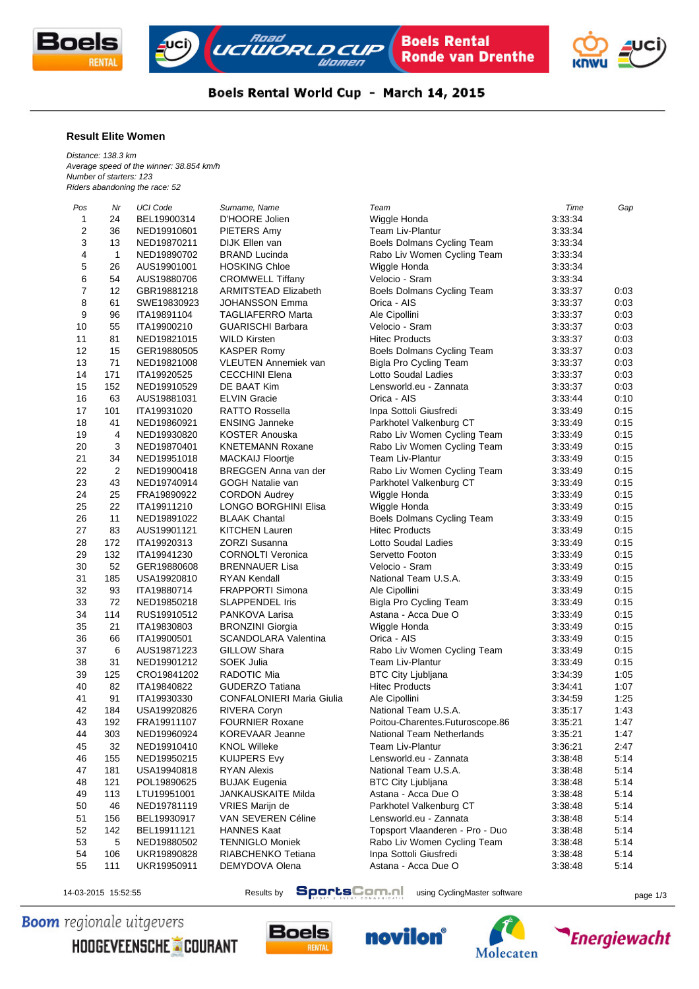





## Boels Rental World Cup - March 14, 2015

## **Result Elite Women**

*Distance: 138.3 km Average speed of the winner: 38.854 km/h Number of starters: 123 Riders abandoning the race: 52*

| Pos            | Nr             | <b>UCI Code</b> | Surname, Name                                     | Team                            | Time    | Gap  |
|----------------|----------------|-----------------|---------------------------------------------------|---------------------------------|---------|------|
| $\mathbf{1}$   | 24             | BEL19900314     | D'HOORE Jolien                                    | Wiggle Honda                    | 3:33:34 |      |
| $\sqrt{2}$     | 36             | NED19910601     | PIETERS Amy                                       | Team Liv-Plantur                | 3:33:34 |      |
| 3              | 13             | NED19870211     | DIJK Ellen van                                    | Boels Dolmans Cycling Team      | 3:33:34 |      |
| 4              | $\mathbf{1}$   | NED19890702     | <b>BRAND Lucinda</b>                              | Rabo Liv Women Cycling Team     | 3:33:34 |      |
| 5              | 26             | AUS19901001     | <b>HOSKING Chloe</b>                              | Wiggle Honda                    | 3:33:34 |      |
| 6              | 54             | AUS19880706     | <b>CROMWELL Tiffany</b>                           | Velocio - Sram                  | 3:33:34 |      |
| $\overline{7}$ | 12             | GBR19881218     | <b>ARMITSTEAD Elizabeth</b>                       | Boels Dolmans Cycling Team      | 3:33:37 | 0:03 |
| 8              | 61             | SWE19830923     | <b>JOHANSSON Emma</b>                             | Orica - AIS                     | 3:33:37 | 0:03 |
| 9              | 96             | ITA19891104     | <b>TAGLIAFERRO Marta</b>                          | Ale Cipollini                   | 3:33:37 | 0:03 |
| 10             | 55             | ITA19900210     | <b>GUARISCHI Barbara</b>                          | Velocio - Sram                  | 3:33:37 | 0:03 |
| 11             | 81             | NED19821015     | <b>WILD Kirsten</b>                               | <b>Hitec Products</b>           | 3:33:37 | 0:03 |
| 12             | 15             | GER19880505     | <b>KASPER Romy</b>                                | Boels Dolmans Cycling Team      | 3:33:37 | 0:03 |
| 13             | 71             | NED19821008     | <b>VLEUTEN Annemiek van</b>                       | <b>Bigla Pro Cycling Team</b>   | 3:33:37 | 0:03 |
| 14             | 171            | ITA19920525     | <b>CECCHINI Elena</b>                             | Lotto Soudal Ladies             | 3:33:37 | 0:03 |
| 15             | 152            | NED19910529     | DE BAAT Kim                                       | Lensworld.eu - Zannata          | 3:33:37 | 0:03 |
| 16             | 63             | AUS19881031     | <b>ELVIN Gracie</b>                               | Orica - AIS                     | 3:33:44 | 0:10 |
| 17             | 101            |                 | <b>RATTO Rossella</b>                             | Inpa Sottoli Giusfredi          |         | 0:15 |
|                |                | ITA19931020     |                                                   |                                 | 3:33:49 |      |
| 18             | 41             | NED19860921     | <b>ENSING Janneke</b>                             | Parkhotel Valkenburg CT         | 3:33:49 | 0:15 |
| 19             | 4              | NED19930820     | <b>KOSTER Anouska</b>                             | Rabo Liv Women Cycling Team     | 3:33:49 | 0:15 |
| 20             | 3              | NED19870401     | <b>KNETEMANN Roxane</b>                           | Rabo Liv Women Cycling Team     | 3:33:49 | 0:15 |
| 21             | 34             | NED19951018     | <b>MACKAIJ Floortje</b>                           | <b>Team Liv-Plantur</b>         | 3:33:49 | 0:15 |
| 22             | $\overline{2}$ | NED19900418     | BREGGEN Anna van der                              | Rabo Liv Women Cycling Team     | 3:33:49 | 0:15 |
| 23             | 43             | NED19740914     | GOGH Natalie van                                  | Parkhotel Valkenburg CT         | 3:33:49 | 0:15 |
| 24             | 25             | FRA19890922     | <b>CORDON Audrey</b>                              | Wiggle Honda                    | 3:33:49 | 0:15 |
| 25             | 22             | ITA19911210     | <b>LONGO BORGHINI Elisa</b>                       | Wiggle Honda                    | 3:33:49 | 0:15 |
| 26             | 11             | NED19891022     | <b>BLAAK Chantal</b>                              | Boels Dolmans Cycling Team      | 3:33:49 | 0:15 |
| 27             | 83             | AUS19901121     | <b>KITCHEN Lauren</b>                             | <b>Hitec Products</b>           | 3:33:49 | 0:15 |
| 28             | 172            | ITA19920313     | <b>ZORZI Susanna</b>                              | Lotto Soudal Ladies             | 3:33:49 | 0:15 |
| 29             | 132            | ITA19941230     | <b>CORNOLTI Veronica</b>                          | Servetto Footon                 | 3:33:49 | 0:15 |
| 30             | 52             | GER19880608     | <b>BRENNAUER Lisa</b>                             | Velocio - Sram                  | 3:33:49 | 0:15 |
| 31             | 185            | USA19920810     | <b>RYAN Kendall</b>                               | National Team U.S.A.            | 3:33:49 | 0:15 |
| 32             | 93             | ITA19880714     | <b>FRAPPORTI Simona</b>                           | Ale Cipollini                   | 3:33:49 | 0:15 |
| 33             | 72             | NED19850218     | <b>SLAPPENDEL Iris</b>                            | <b>Bigla Pro Cycling Team</b>   | 3:33:49 | 0:15 |
| 34             | 114            | RUS19910512     | PANKOVA Larisa                                    | Astana - Acca Due O             | 3:33:49 | 0:15 |
| 35             | 21             | ITA19830803     | <b>BRONZINI Giorgia</b>                           | Wiggle Honda                    | 3:33:49 | 0:15 |
| 36             | 66             | ITA19900501     | <b>SCANDOLARA Valentina</b>                       | Orica - AIS                     | 3:33:49 | 0:15 |
| 37             | 6              | AUS19871223     | <b>GILLOW Shara</b>                               | Rabo Liv Women Cycling Team     | 3:33:49 | 0:15 |
| 38             | 31             | NED19901212     | <b>SOEK Julia</b>                                 | Team Liv-Plantur                | 3:33:49 | 0:15 |
| 39             | 125            | CRO19841202     | RADOTIC Mia                                       | <b>BTC City Ljubljana</b>       | 3:34:39 | 1:05 |
| 40             | 82             | ITA19840822     | <b>GUDERZO Tatiana</b>                            | <b>Hitec Products</b>           | 3:34:41 | 1:07 |
| 41             | 91             | ITA19930330     | <b>CONFALONIERI Maria Giulia</b>                  | Ale Cipollini                   | 3:34:59 | 1:25 |
| 42             | 184            | USA19920826     | RIVERA Coryn                                      | National Team U.S.A.            | 3:35:17 | 1:43 |
| 43             | 192            | FRA19911107     | <b>FOURNIER Roxane</b>                            | Poitou-Charentes.Futuroscope.86 | 3:35:21 | 1:47 |
| 44             | 303            | NED19960924     | KOREVAAR Jeanne                                   | National Team Netherlands       | 3:35:21 | 1:47 |
| 45             | 32             | NED19910410     | <b>KNOL Willeke</b>                               | Team Liv-Plantur                | 3:36:21 | 2:47 |
| 46             | 155            | NED19950215     | <b>KUIJPERS Evy</b>                               | Lensworld.eu - Zannata          | 3:38:48 | 5:14 |
| 47             | 181            | USA19940818     | <b>RYAN Alexis</b>                                | National Team U.S.A.            | 3:38:48 | 5:14 |
|                |                |                 |                                                   |                                 |         | 5:14 |
| 48             | 121            | POL19890625     | <b>BUJAK Eugenia</b><br><b>JANKAUSKAITE Milda</b> | <b>BTC City Ljubljana</b>       | 3:38:48 |      |
| 49             | 113            | LTU19951001     |                                                   | Astana - Acca Due O             | 3:38:48 | 5:14 |
| 50             | 46             | NED19781119     | VRIES Marijn de                                   | Parkhotel Valkenburg CT         | 3:38:48 | 5:14 |
| 51             | 156            | BEL19930917     | VAN SEVEREN Céline                                | Lensworld.eu - Zannata          | 3:38:48 | 5:14 |
| 52             | 142            | BEL19911121     | <b>HANNES Kaat</b>                                | Topsport Vlaanderen - Pro - Duo | 3:38:48 | 5:14 |
| 53             | 5              | NED19880502     | <b>TENNIGLO Moniek</b>                            | Rabo Liv Women Cycling Team     | 3:38:48 | 5:14 |
| 54             | 106            | UKR19890828     | RIABCHENKO Tetiana                                | Inpa Sottoli Giusfredi          | 3:38:48 | 5:14 |
| 55             | 111            | UKR19950911     | DEMYDOVA Olena                                    | Astana - Acca Due O             | 3:38:48 | 5:14 |
|                |                |                 |                                                   |                                 |         |      |

14-03-2015 15:52:55 Results by **SportsComment** using CyclingMaster software page 1/3

**Boom** regionale uitgevers

HOOGEVEENSCHE COURANT







**Energiewacht**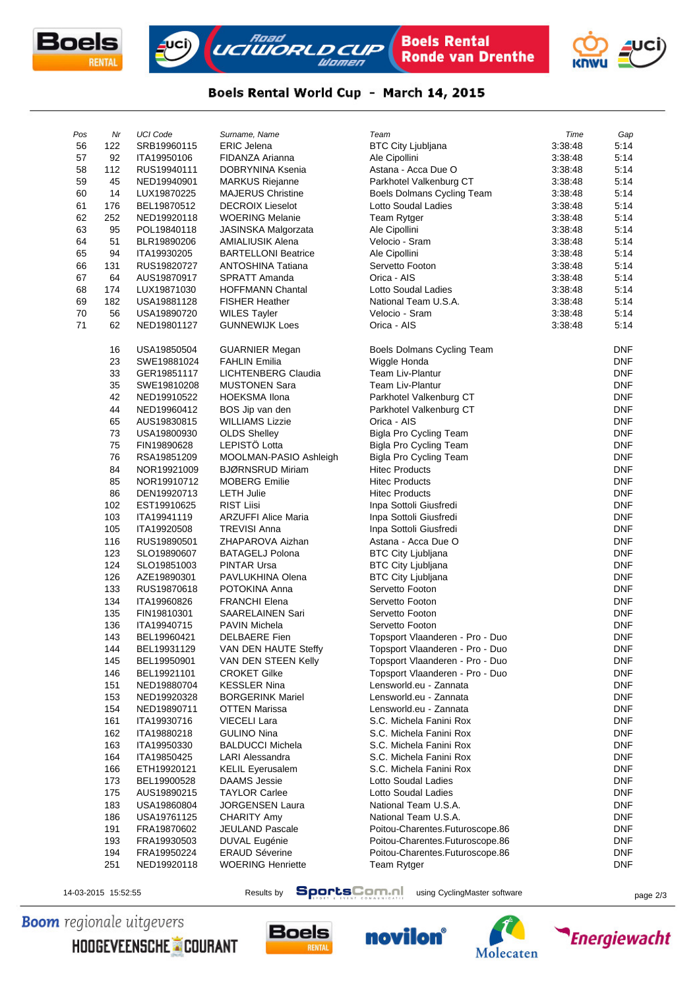





## Boels Rental World Cup - March 14, 2015

| Pos | Nr  | <b>UCI Code</b> | Surname, Name              | Team                              | Time    | Gap        |
|-----|-----|-----------------|----------------------------|-----------------------------------|---------|------------|
| 56  | 122 | SRB19960115     | <b>ERIC Jelena</b>         | <b>BTC City Ljubljana</b>         | 3:38:48 | 5:14       |
| 57  | 92  | ITA19950106     | FIDANZA Arianna            | Ale Cipollini                     | 3:38:48 | 5:14       |
| 58  | 112 | RUS19940111     | DOBRYNINA Ksenia           | Astana - Acca Due O               | 3:38:48 | 5:14       |
| 59  | 45  | NED19940901     | <b>MARKUS Riejanne</b>     | Parkhotel Valkenburg CT           | 3:38:48 | 5:14       |
| 60  | 14  | LUX19870225     | <b>MAJERUS Christine</b>   | <b>Boels Dolmans Cycling Team</b> | 3:38:48 | 5:14       |
| 61  | 176 | BEL19870512     | <b>DECROIX Lieselot</b>    | <b>Lotto Soudal Ladies</b>        | 3:38:48 | 5:14       |
| 62  | 252 | NED19920118     | <b>WOERING Melanie</b>     | Team Rytger                       | 3:38:48 | 5:14       |
| 63  | 95  | POL19840118     | JASINSKA Malgorzata        | Ale Cipollini                     | 3:38:48 | 5:14       |
| 64  | 51  | BLR19890206     | AMIALIUSIK Alena           | Velocio - Sram                    | 3:38:48 | 5:14       |
| 65  | 94  | ITA19930205     | <b>BARTELLONI Beatrice</b> | Ale Cipollini                     | 3:38:48 | 5:14       |
| 66  | 131 | RUS19820727     | ANTOSHINA Tatiana          | Servetto Footon                   | 3:38:48 | 5:14       |
| 67  | 64  | AUS19870917     | SPRATT Amanda              | Orica - AIS                       | 3:38:48 | 5:14       |
| 68  | 174 | LUX19871030     | <b>HOFFMANN Chantal</b>    | Lotto Soudal Ladies               | 3:38:48 | 5:14       |
| 69  | 182 | USA19881128     | <b>FISHER Heather</b>      | National Team U.S.A.              | 3:38:48 | 5:14       |
| 70  | 56  | USA19890720     | <b>WILES Tayler</b>        | Velocio - Sram                    | 3:38:48 | 5:14       |
| 71  | 62  | NED19801127     | <b>GUNNEWIJK Loes</b>      | Orica - AIS                       | 3:38:48 | 5:14       |
|     |     |                 |                            |                                   |         |            |
|     | 16  | USA19850504     | <b>GUARNIER Megan</b>      | Boels Dolmans Cycling Team        |         | <b>DNF</b> |
|     | 23  | SWE19881024     | <b>FAHLIN Emilia</b>       | Wiggle Honda                      |         | DNF        |
|     | 33  | GER19851117     | <b>LICHTENBERG Claudia</b> | <b>Team Liv-Plantur</b>           |         | DNF        |
|     | 35  | SWE19810208     | <b>MUSTONEN Sara</b>       | Team Liv-Plantur                  |         | <b>DNF</b> |
|     | 42  | NED19910522     | <b>HOEKSMA Ilona</b>       | Parkhotel Valkenburg CT           |         | DNF        |
|     | 44  | NED19960412     | BOS Jip van den            | Parkhotel Valkenburg CT           |         | DNF        |
|     | 65  | AUS19830815     | <b>WILLIAMS Lizzie</b>     | Orica - AIS                       |         | DNF        |
|     | 73  | USA19800930     | <b>OLDS Shelley</b>        | Bigla Pro Cycling Team            |         | DNF        |
|     | 75  | FIN19890628     | LEPISTÖ Lotta              | Bigla Pro Cycling Team            |         | <b>DNF</b> |
|     | 76  | RSA19851209     | MOOLMAN-PASIO Ashleigh     | <b>Bigla Pro Cycling Team</b>     |         | <b>DNF</b> |
|     | 84  | NOR19921009     | <b>BJØRNSRUD Miriam</b>    | <b>Hitec Products</b>             |         | <b>DNF</b> |
|     | 85  | NOR19910712     | <b>MOBERG Emilie</b>       | <b>Hitec Products</b>             |         | DNF        |
|     | 86  | DEN19920713     | <b>LETH Julie</b>          | <b>Hitec Products</b>             |         | DNF        |
|     | 102 | EST19910625     | <b>RIST Liisi</b>          | Inpa Sottoli Giusfredi            |         | <b>DNF</b> |
|     | 103 | ITA19941119     | <b>ARZUFFI Alice Maria</b> | Inpa Sottoli Giusfredi            |         | DNF        |
|     | 105 | ITA19920508     | <b>TREVISI Anna</b>        | Inpa Sottoli Giusfredi            |         | DNF        |
|     | 116 | RUS19890501     | ZHAPAROVA Aizhan           | Astana - Acca Due O               |         | DNF        |
|     | 123 | SLO19890607     | <b>BATAGELJ Polona</b>     | <b>BTC City Ljubljana</b>         |         | DNF        |
|     | 124 | SLO19851003     | PINTAR Ursa                | <b>BTC City Ljubljana</b>         |         | DNF        |
|     | 126 | AZE19890301     | PAVLUKHINA Olena           | <b>BTC City Ljubljana</b>         |         | DNF        |
|     | 133 | RUS19870618     | POTOKINA Anna              | Servetto Footon                   |         | DNF        |
|     | 134 | ITA19960826     | <b>FRANCHI Elena</b>       | Servetto Footon                   |         | DNF        |
|     | 135 | FIN19810301     | SAARELAINEN Sari           | Servetto Footon                   |         | DNF        |
|     | 136 | ITA19940715     | <b>PAVIN Michela</b>       | Servetto Footon                   |         | DNF        |
|     | 143 | BEL19960421     | <b>DELBAERE</b> Fien       | Topsport Vlaanderen - Pro - Duo   |         | <b>DNF</b> |
|     | 144 | BEL19931129     | VAN DEN HAUTE Steffy       | Topsport Vlaanderen - Pro - Duo   |         | <b>DNF</b> |
|     | 145 | BEL19950901     | VAN DEN STEEN Kelly        | Topsport Vlaanderen - Pro - Duo   |         | DNF        |
|     | 146 | BEL19921101     | <b>CROKET Gilke</b>        | Topsport Vlaanderen - Pro - Duo   |         | <b>DNF</b> |
|     | 151 | NED19880704     | <b>KESSLER Nina</b>        | Lensworld.eu - Zannata            |         | DNF        |
|     | 153 | NED19920328     | <b>BORGERINK Mariel</b>    | Lensworld.eu - Zannata            |         | DNF        |
|     | 154 | NED19890711     | OTTEN Marissa              | Lensworld.eu - Zannata            |         | DNF        |
|     | 161 | ITA19930716     | VIECELI Lara               | S.C. Michela Fanini Rox           |         | DNF        |
|     | 162 | ITA19880218     | <b>GULINO Nina</b>         | S.C. Michela Fanini Rox           |         | DNF        |
|     | 163 | ITA19950330     | <b>BALDUCCI Michela</b>    | S.C. Michela Fanini Rox           |         | DNF        |
|     | 164 | ITA19850425     | <b>LARI Alessandra</b>     | S.C. Michela Fanini Rox           |         | DNF        |
|     | 166 | ETH19920121     | <b>KELIL Eyerusalem</b>    | S.C. Michela Fanini Rox           |         | DNF        |
|     | 173 | BEL19900528     | <b>DAAMS</b> Jessie        | Lotto Soudal Ladies               |         | <b>DNF</b> |
|     | 175 | AUS19890215     | <b>TAYLOR Carlee</b>       | Lotto Soudal Ladies               |         | DNF        |
|     | 183 | USA19860804     | JORGENSEN Laura            | National Team U.S.A.              |         | DNF        |
|     | 186 | USA19761125     | CHARITY Amy                | National Team U.S.A.              |         | DNF        |
|     | 191 | FRA19870602     | JEULAND Pascale            | Poitou-Charentes.Futuroscope.86   |         | <b>DNF</b> |
|     | 193 | FRA19930503     | <b>DUVAL Eugénie</b>       | Poitou-Charentes.Futuroscope.86   |         | DNF        |
|     | 194 | FRA19950224     | <b>ERAUD Séverine</b>      | Poitou-Charentes.Futuroscope.86   |         | DNF        |
|     | 251 | NED19920118     | <b>WOERING Henriette</b>   | Team Rytger                       |         | DNF        |

14-03-2015 15:52:55 Results by **SportsComment** using CyclingMaster software page 2/3

**Boom** regionale uitgevers









**Energiewacht**